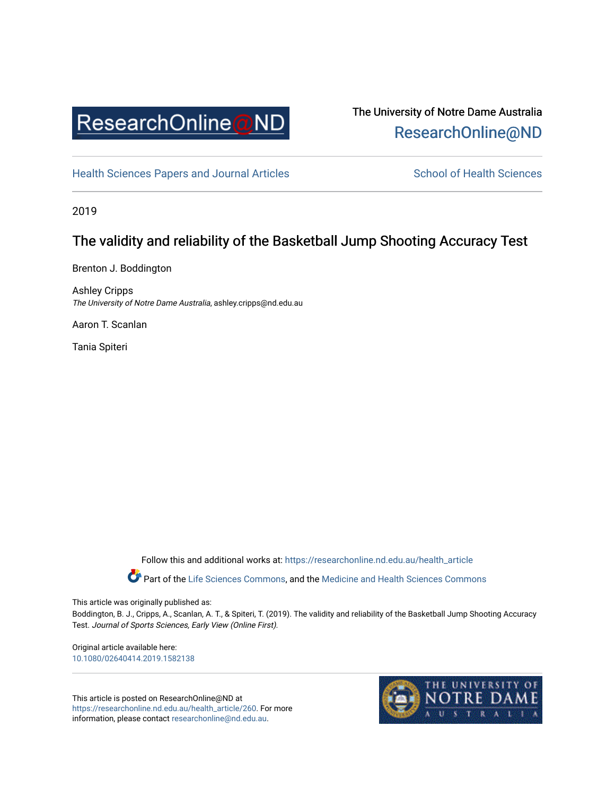

# The University of Notre Dame Australia [ResearchOnline@ND](https://researchonline.nd.edu.au/)

[Health Sciences Papers and Journal Articles](https://researchonline.nd.edu.au/health_article) School of Health Sciences

2019

# The validity and reliability of the Basketball Jump Shooting Accuracy Test

Brenton J. Boddington

Ashley Cripps The University of Notre Dame Australia, ashley.cripps@nd.edu.au

Aaron T. Scanlan

Tania Spiteri

Follow this and additional works at: [https://researchonline.nd.edu.au/health\\_article](https://researchonline.nd.edu.au/health_article?utm_source=researchonline.nd.edu.au%2Fhealth_article%2F260&utm_medium=PDF&utm_campaign=PDFCoverPages)

Part of the [Life Sciences Commons](http://network.bepress.com/hgg/discipline/1016?utm_source=researchonline.nd.edu.au%2Fhealth_article%2F260&utm_medium=PDF&utm_campaign=PDFCoverPages), and the Medicine and Health Sciences Commons

This article was originally published as:

Boddington, B. J., Cripps, A., Scanlan, A. T., & Spiteri, T. (2019). The validity and reliability of the Basketball Jump Shooting Accuracy Test. Journal of Sports Sciences, Early View (Online First).

Original article available here: [10.1080/02640414.2019.1582138](https://doi.org/10.1080/02640414.2019.1582138) 

This article is posted on ResearchOnline@ND at [https://researchonline.nd.edu.au/health\\_article/260](https://researchonline.nd.edu.au/health_article/260). For more information, please contact [researchonline@nd.edu.au.](mailto:researchonline@nd.edu.au)

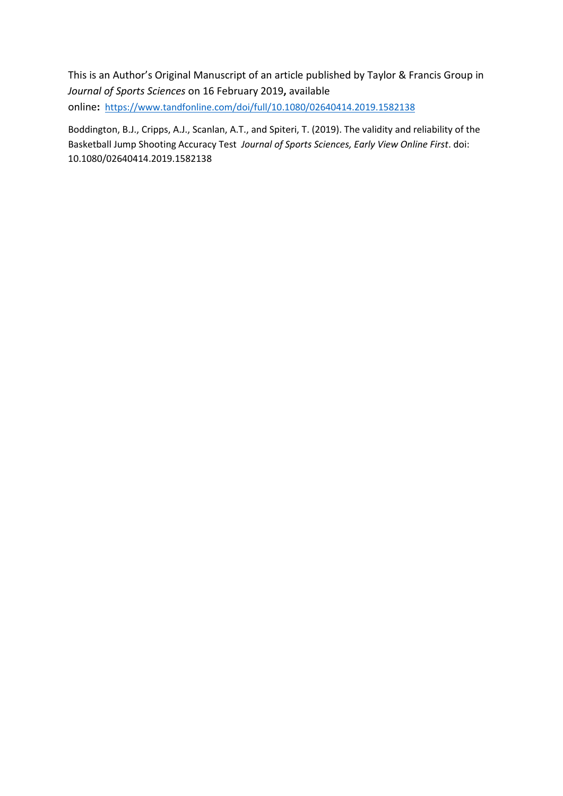This is an Author's Original Manuscript of an article published by Taylor & Francis Group in *Journal of Sports Sciences* on 16 February 2019**,** available online**:** <https://www.tandfonline.com/doi/full/10.1080/02640414.2019.1582138>

Boddington, B.J., Cripps, A.J., Scanlan, A.T., and Spiteri, T. (2019). The validity and reliability of the Basketball Jump Shooting Accuracy Test *Journal of Sports Sciences, Early View Online First*. doi: 10.1080/02640414.2019.1582138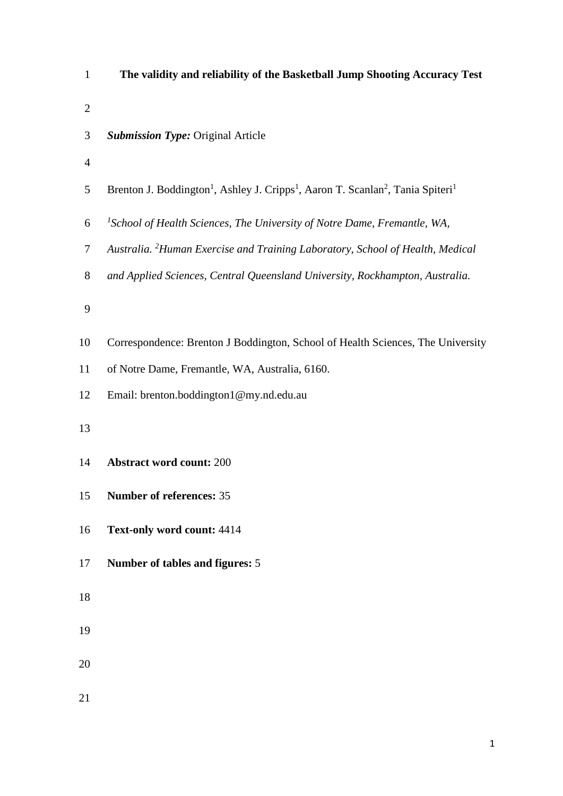| $\mathbf{1}$   | The validity and reliability of the Basketball Jump Shooting Accuracy Test                                                      |
|----------------|---------------------------------------------------------------------------------------------------------------------------------|
| $\overline{2}$ |                                                                                                                                 |
| 3              | <b>Submission Type: Original Article</b>                                                                                        |
| $\overline{4}$ |                                                                                                                                 |
| 5              | Brenton J. Boddington <sup>1</sup> , Ashley J. Cripps <sup>1</sup> , Aaron T. Scanlan <sup>2</sup> , Tania Spiteri <sup>1</sup> |
| 6              | <sup>1</sup> School of Health Sciences, The University of Notre Dame, Fremantle, WA,                                            |
| $\tau$         | Australia. <sup>2</sup> Human Exercise and Training Laboratory, School of Health, Medical                                       |
| 8              | and Applied Sciences, Central Queensland University, Rockhampton, Australia.                                                    |
| 9              |                                                                                                                                 |
| 10             | Correspondence: Brenton J Boddington, School of Health Sciences, The University                                                 |
| 11             | of Notre Dame, Fremantle, WA, Australia, 6160.                                                                                  |
| 12             | Email: brenton.boddington1@my.nd.edu.au                                                                                         |
| 13             |                                                                                                                                 |
| 14             | <b>Abstract word count: 200</b>                                                                                                 |
| 15             | <b>Number of references: 35</b>                                                                                                 |
| 16             | Text-only word count: 4414                                                                                                      |
| 17             | Number of tables and figures: 5                                                                                                 |
| 18             |                                                                                                                                 |
| 19             |                                                                                                                                 |
| 20             |                                                                                                                                 |
| 21             |                                                                                                                                 |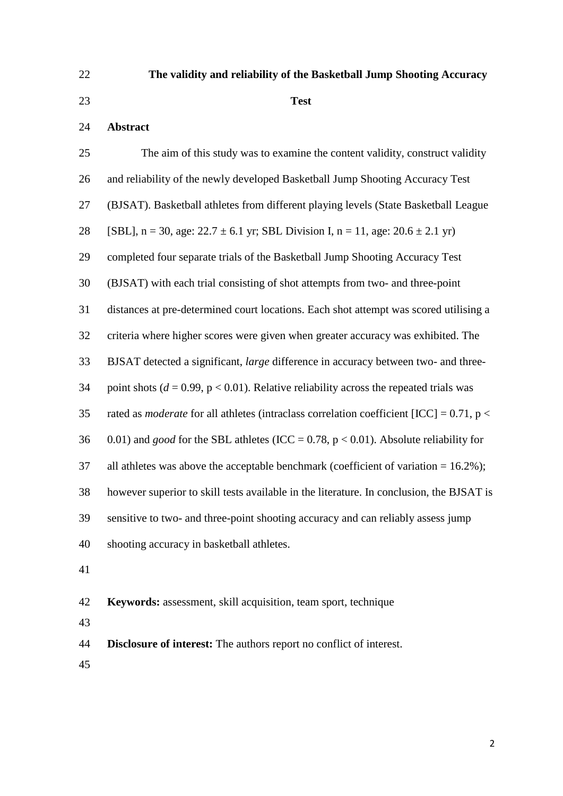# **The validity and reliability of the Basketball Jump Shooting Accuracy**

### **Test**

## **Abstract**

| 25 | The aim of this study was to examine the content validity, construct validity                      |
|----|----------------------------------------------------------------------------------------------------|
| 26 | and reliability of the newly developed Basketball Jump Shooting Accuracy Test                      |
| 27 | (BJSAT). Basketball athletes from different playing levels (State Basketball League                |
| 28 | [SBL], n = 30, age: $22.7 \pm 6.1$ yr; SBL Division I, n = 11, age: $20.6 \pm 2.1$ yr)             |
| 29 | completed four separate trials of the Basketball Jump Shooting Accuracy Test                       |
| 30 | (BJSAT) with each trial consisting of shot attempts from two- and three-point                      |
| 31 | distances at pre-determined court locations. Each shot attempt was scored utilising a              |
| 32 | criteria where higher scores were given when greater accuracy was exhibited. The                   |
| 33 | BJSAT detected a significant, large difference in accuracy between two- and three-                 |
| 34 | point shots ( $d = 0.99$ , $p < 0.01$ ). Relative reliability across the repeated trials was       |
| 35 | rated as <i>moderate</i> for all athletes (intraclass correlation coefficient [ICC] = $0.71$ , p < |
| 36 | 0.01) and <i>good</i> for the SBL athletes (ICC = 0.78, $p < 0.01$ ). Absolute reliability for     |
| 37 | all athletes was above the acceptable benchmark (coefficient of variation $= 16.2\%$ );            |
| 38 | however superior to skill tests available in the literature. In conclusion, the BJSAT is           |
| 39 | sensitive to two- and three-point shooting accuracy and can reliably assess jump                   |
| 40 | shooting accuracy in basketball athletes.                                                          |
| 41 |                                                                                                    |

**Keywords:** assessment, skill acquisition, team sport, technique

**Disclosure of interest:** The authors report no conflict of interest.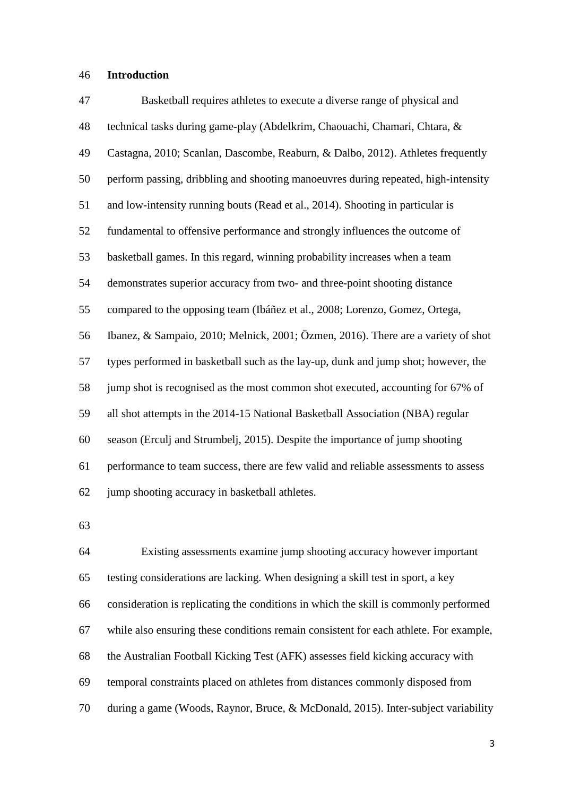#### **Introduction**

 Basketball requires athletes to execute a diverse range of physical and technical tasks during game-play (Abdelkrim, Chaouachi, Chamari, Chtara, & Castagna, 2010; Scanlan, Dascombe, Reaburn, & Dalbo, 2012). Athletes frequently perform passing, dribbling and shooting manoeuvres during repeated, high-intensity and low-intensity running bouts (Read et al., 2014). Shooting in particular is fundamental to offensive performance and strongly influences the outcome of basketball games. In this regard, winning probability increases when a team demonstrates superior accuracy from two- and three-point shooting distance compared to the opposing team (Ibáñez et al., 2008; Lorenzo, Gomez, Ortega, Ibanez, & Sampaio, 2010; Melnick, 2001; Özmen, 2016). There are a variety of shot types performed in basketball such as the lay-up, dunk and jump shot; however, the jump shot is recognised as the most common shot executed, accounting for 67% of all shot attempts in the 2014-15 National Basketball Association (NBA) regular season (Erculj and Strumbelj, 2015). Despite the importance of jump shooting performance to team success, there are few valid and reliable assessments to assess jump shooting accuracy in basketball athletes.

 Existing assessments examine jump shooting accuracy however important testing considerations are lacking. When designing a skill test in sport, a key consideration is replicating the conditions in which the skill is commonly performed while also ensuring these conditions remain consistent for each athlete. For example, the Australian Football Kicking Test (AFK) assesses field kicking accuracy with temporal constraints placed on athletes from distances commonly disposed from during a game (Woods, Raynor, Bruce, & McDonald, 2015). Inter-subject variability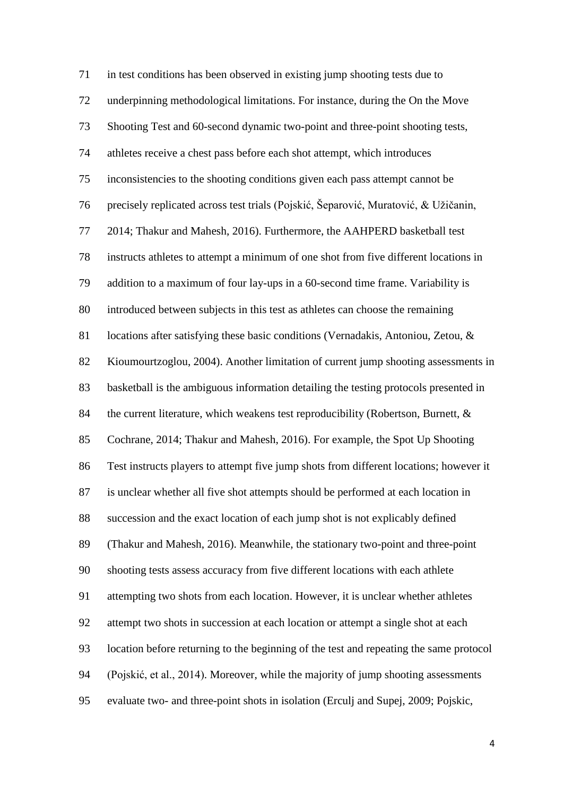in test conditions has been observed in existing jump shooting tests due to underpinning methodological limitations. For instance, during the On the Move Shooting Test and 60-second dynamic two-point and three-point shooting tests, athletes receive a chest pass before each shot attempt, which introduces inconsistencies to the shooting conditions given each pass attempt cannot be precisely replicated across test trials (Pojskić, Šeparović, Muratović, & Užičanin, 2014; Thakur and Mahesh, 2016). Furthermore, the AAHPERD basketball test instructs athletes to attempt a minimum of one shot from five different locations in addition to a maximum of four lay-ups in a 60-second time frame. Variability is introduced between subjects in this test as athletes can choose the remaining locations after satisfying these basic conditions (Vernadakis, Antoniou, Zetou, & Kioumourtzoglou, 2004). Another limitation of current jump shooting assessments in basketball is the ambiguous information detailing the testing protocols presented in 84 the current literature, which weakens test reproducibility (Robertson, Burnett, & Cochrane, 2014; Thakur and Mahesh, 2016). For example, the Spot Up Shooting Test instructs players to attempt five jump shots from different locations; however it is unclear whether all five shot attempts should be performed at each location in succession and the exact location of each jump shot is not explicably defined (Thakur and Mahesh, 2016). Meanwhile, the stationary two-point and three-point shooting tests assess accuracy from five different locations with each athlete attempting two shots from each location. However, it is unclear whether athletes attempt two shots in succession at each location or attempt a single shot at each location before returning to the beginning of the test and repeating the same protocol (Pojskić, et al., 2014). Moreover, while the majority of jump shooting assessments evaluate two- and three-point shots in isolation (Erculj and Supej, 2009; Pojskic,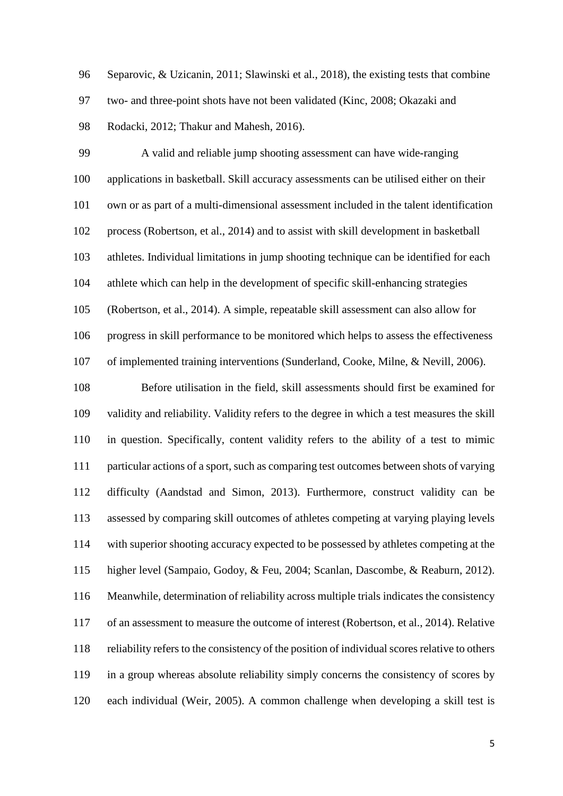Separovic, & Uzicanin, 2011; Slawinski et al., 2018), the existing tests that combine two- and three-point shots have not been validated (Kinc, 2008; Okazaki and Rodacki, 2012; Thakur and Mahesh, 2016).

 A valid and reliable jump shooting assessment can have wide-ranging applications in basketball. Skill accuracy assessments can be utilised either on their own or as part of a multi-dimensional assessment included in the talent identification process (Robertson, et al., 2014) and to assist with skill development in basketball athletes. Individual limitations in jump shooting technique can be identified for each athlete which can help in the development of specific skill-enhancing strategies (Robertson, et al., 2014). A simple, repeatable skill assessment can also allow for progress in skill performance to be monitored which helps to assess the effectiveness of implemented training interventions (Sunderland, Cooke, Milne, & Nevill, 2006).

 Before utilisation in the field, skill assessments should first be examined for validity and reliability. Validity refers to the degree in which a test measures the skill in question. Specifically, content validity refers to the ability of a test to mimic particular actions of a sport, such as comparing test outcomes between shots of varying difficulty (Aandstad and Simon, 2013). Furthermore, construct validity can be assessed by comparing skill outcomes of athletes competing at varying playing levels with superior shooting accuracy expected to be possessed by athletes competing at the higher level (Sampaio, Godoy, & Feu, 2004; Scanlan, Dascombe, & Reaburn, 2012). Meanwhile, determination of reliability across multiple trials indicates the consistency of an assessment to measure the outcome of interest (Robertson, et al., 2014). Relative reliability refers to the consistency of the position of individual scores relative to others in a group whereas absolute reliability simply concerns the consistency of scores by each individual (Weir, 2005). A common challenge when developing a skill test is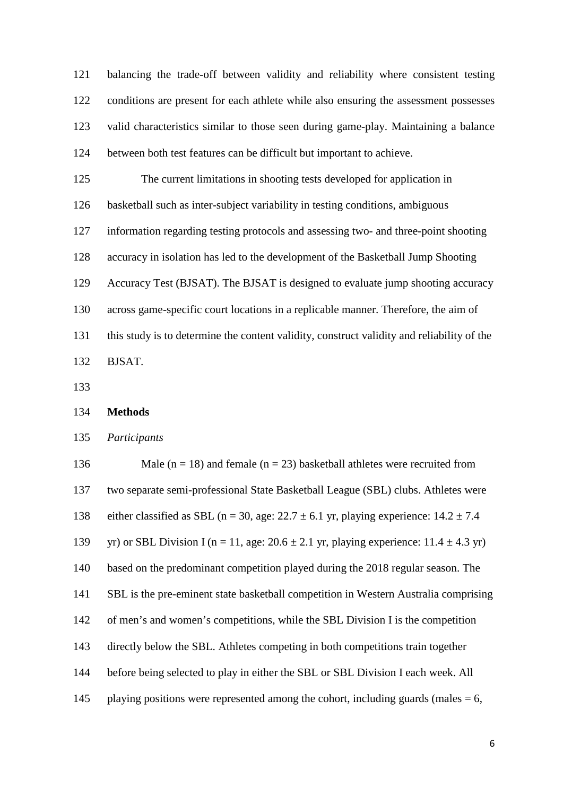balancing the trade-off between validity and reliability where consistent testing conditions are present for each athlete while also ensuring the assessment possesses valid characteristics similar to those seen during game-play. Maintaining a balance between both test features can be difficult but important to achieve.

 The current limitations in shooting tests developed for application in basketball such as inter-subject variability in testing conditions, ambiguous information regarding testing protocols and assessing two- and three-point shooting

accuracy in isolation has led to the development of the Basketball Jump Shooting

Accuracy Test (BJSAT). The BJSAT is designed to evaluate jump shooting accuracy

across game-specific court locations in a replicable manner. Therefore, the aim of

this study is to determine the content validity, construct validity and reliability of the

BJSAT.

**Methods**

*Participants*

136 Male ( $n = 18$ ) and female ( $n = 23$ ) basketball athletes were recruited from two separate semi-professional State Basketball League (SBL) clubs. Athletes were 138 either classified as SBL (n = 30, age:  $22.7 \pm 6.1$  yr, playing experience:  $14.2 \pm 7.4$ 139 yr) or SBL Division I (n = 11, age:  $20.6 \pm 2.1$  yr, playing experience:  $11.4 \pm 4.3$  yr) based on the predominant competition played during the 2018 regular season. The SBL is the pre-eminent state basketball competition in Western Australia comprising of men's and women's competitions, while the SBL Division I is the competition directly below the SBL. Athletes competing in both competitions train together before being selected to play in either the SBL or SBL Division I each week. All 145 playing positions were represented among the cohort, including guards (males  $= 6$ ,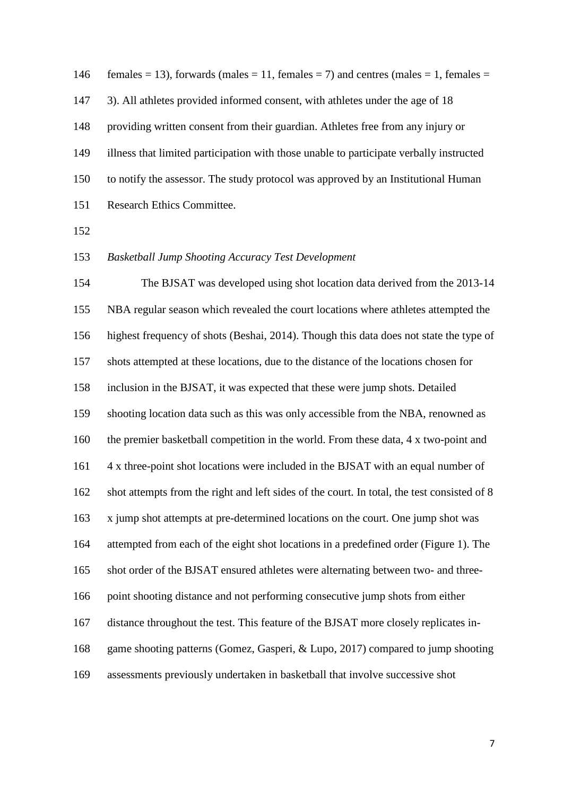146 females = 13), forwards (males = 11, females = 7) and centres (males = 1, females = 3). All athletes provided informed consent, with athletes under the age of 18 providing written consent from their guardian. Athletes free from any injury or illness that limited participation with those unable to participate verbally instructed to notify the assessor. The study protocol was approved by an Institutional Human Research Ethics Committee.

### *Basketball Jump Shooting Accuracy Test Development*

 The BJSAT was developed using shot location data derived from the 2013-14 NBA regular season which revealed the court locations where athletes attempted the highest frequency of shots (Beshai, 2014). Though this data does not state the type of shots attempted at these locations, due to the distance of the locations chosen for inclusion in the BJSAT, it was expected that these were jump shots. Detailed shooting location data such as this was only accessible from the NBA, renowned as the premier basketball competition in the world. From these data, 4 x two-point and 4 x three-point shot locations were included in the BJSAT with an equal number of shot attempts from the right and left sides of the court. In total, the test consisted of 8 x jump shot attempts at pre-determined locations on the court. One jump shot was attempted from each of the eight shot locations in a predefined order (Figure 1). The shot order of the BJSAT ensured athletes were alternating between two- and three- point shooting distance and not performing consecutive jump shots from either distance throughout the test. This feature of the BJSAT more closely replicates in- game shooting patterns (Gomez, Gasperi, & Lupo, 2017) compared to jump shooting assessments previously undertaken in basketball that involve successive shot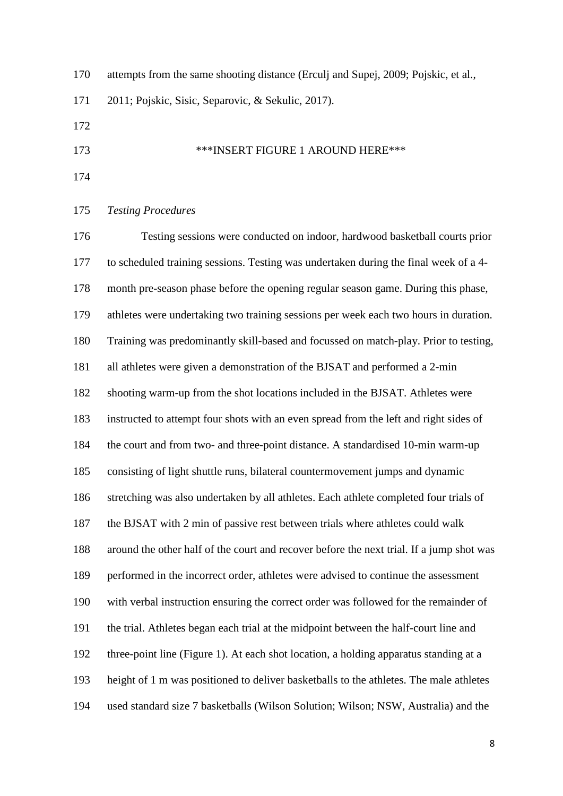| 170 | attempts from the same shooting distance (Erculj and Supej, 2009; Pojskic, et al., |
|-----|------------------------------------------------------------------------------------|
| 171 | 2011; Pojskic, Sisic, Separovic, & Sekulic, 2017).                                 |
| 172 |                                                                                    |
| 173 | <b>***INSERT FIGURE 1 AROUND HERE***</b>                                           |

#### *Testing Procedures*

 Testing sessions were conducted on indoor, hardwood basketball courts prior to scheduled training sessions. Testing was undertaken during the final week of a 4- month pre-season phase before the opening regular season game. During this phase, athletes were undertaking two training sessions per week each two hours in duration. Training was predominantly skill-based and focussed on match-play. Prior to testing, all athletes were given a demonstration of the BJSAT and performed a 2-min shooting warm-up from the shot locations included in the BJSAT. Athletes were instructed to attempt four shots with an even spread from the left and right sides of the court and from two- and three-point distance. A standardised 10-min warm-up consisting of light shuttle runs, bilateral countermovement jumps and dynamic stretching was also undertaken by all athletes. Each athlete completed four trials of the BJSAT with 2 min of passive rest between trials where athletes could walk around the other half of the court and recover before the next trial. If a jump shot was performed in the incorrect order, athletes were advised to continue the assessment with verbal instruction ensuring the correct order was followed for the remainder of the trial. Athletes began each trial at the midpoint between the half-court line and three-point line (Figure 1). At each shot location, a holding apparatus standing at a height of 1 m was positioned to deliver basketballs to the athletes. The male athletes used standard size 7 basketballs (Wilson Solution; Wilson; NSW, Australia) and the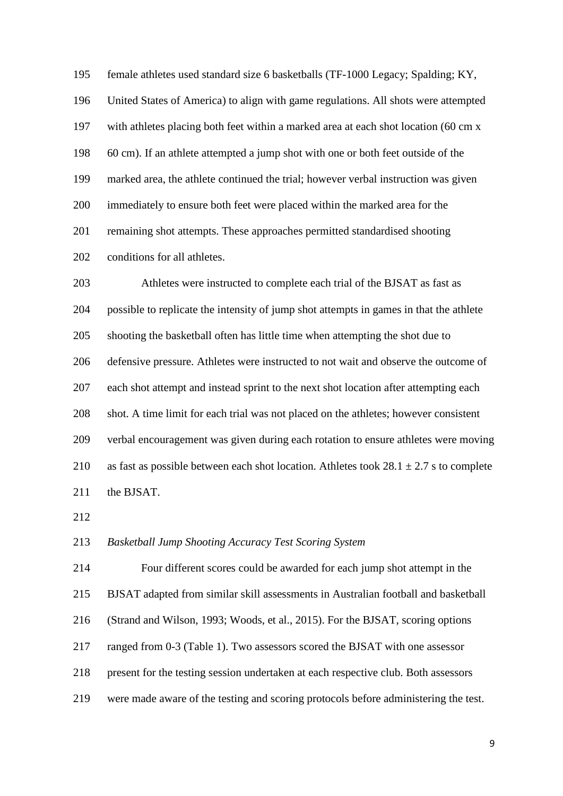female athletes used standard size 6 basketballs (TF-1000 Legacy; Spalding; KY, United States of America) to align with game regulations. All shots were attempted with athletes placing both feet within a marked area at each shot location (60 cm x 60 cm). If an athlete attempted a jump shot with one or both feet outside of the marked area, the athlete continued the trial; however verbal instruction was given immediately to ensure both feet were placed within the marked area for the remaining shot attempts. These approaches permitted standardised shooting conditions for all athletes.

 Athletes were instructed to complete each trial of the BJSAT as fast as possible to replicate the intensity of jump shot attempts in games in that the athlete shooting the basketball often has little time when attempting the shot due to defensive pressure. Athletes were instructed to not wait and observe the outcome of each shot attempt and instead sprint to the next shot location after attempting each shot. A time limit for each trial was not placed on the athletes; however consistent verbal encouragement was given during each rotation to ensure athletes were moving 210 as fast as possible between each shot location. Athletes took  $28.1 \pm 2.7$  s to complete 211 the BJSAT.

*Basketball Jump Shooting Accuracy Test Scoring System*

 Four different scores could be awarded for each jump shot attempt in the BJSAT adapted from similar skill assessments in Australian football and basketball (Strand and Wilson, 1993; Woods, et al., 2015). For the BJSAT, scoring options ranged from 0-3 (Table 1). Two assessors scored the BJSAT with one assessor present for the testing session undertaken at each respective club. Both assessors were made aware of the testing and scoring protocols before administering the test.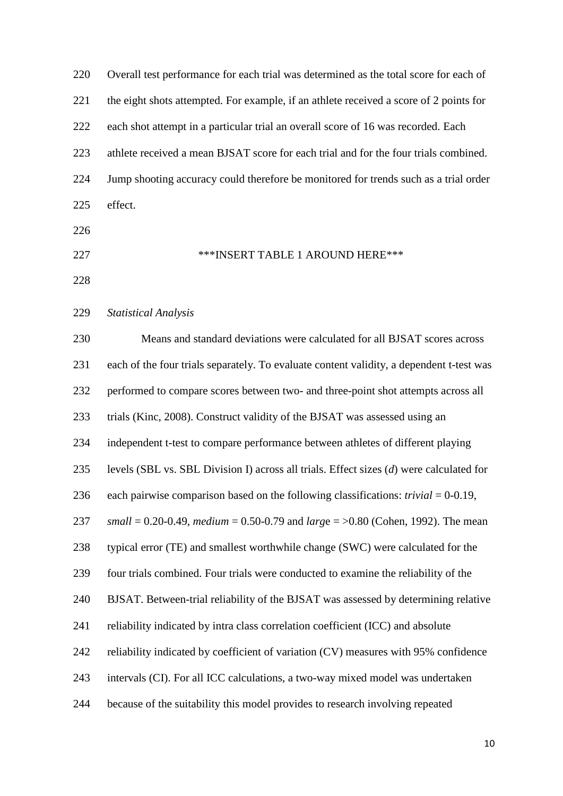| 220 | Overall test performance for each trial was determined as the total score for each of     |
|-----|-------------------------------------------------------------------------------------------|
| 221 | the eight shots attempted. For example, if an athlete received a score of 2 points for    |
| 222 | each shot attempt in a particular trial an overall score of 16 was recorded. Each         |
| 223 | athlete received a mean BJSAT score for each trial and for the four trials combined.      |
| 224 | Jump shooting accuracy could therefore be monitored for trends such as a trial order      |
| 225 | effect.                                                                                   |
| 226 |                                                                                           |
| 227 | ***INSERT TABLE 1 AROUND HERE***                                                          |
| 228 |                                                                                           |
| 229 | <b>Statistical Analysis</b>                                                               |
| 230 | Means and standard deviations were calculated for all BJSAT scores across                 |
| 231 | each of the four trials separately. To evaluate content validity, a dependent t-test was  |
| 232 | performed to compare scores between two- and three-point shot attempts across all         |
| 233 | trials (Kinc, 2008). Construct validity of the BJSAT was assessed using an                |
| 234 | independent t-test to compare performance between athletes of different playing           |
| 235 | levels (SBL vs. SBL Division I) across all trials. Effect sizes $(d)$ were calculated for |
| 236 | each pairwise comparison based on the following classifications: $trivial = 0-0.19$ ,     |
| 237 | small = 0.20-0.49, medium = 0.50-0.79 and large = $>0.80$ (Cohen, 1992). The mean         |
| 238 | typical error (TE) and smallest worthwhile change (SWC) were calculated for the           |
| 239 | four trials combined. Four trials were conducted to examine the reliability of the        |
| 240 | BJSAT. Between-trial reliability of the BJSAT was assessed by determining relative        |
| 241 | reliability indicated by intra class correlation coefficient (ICC) and absolute           |
| 242 | reliability indicated by coefficient of variation (CV) measures with 95% confidence       |
| 243 | intervals (CI). For all ICC calculations, a two-way mixed model was undertaken            |
| 244 | because of the suitability this model provides to research involving repeated             |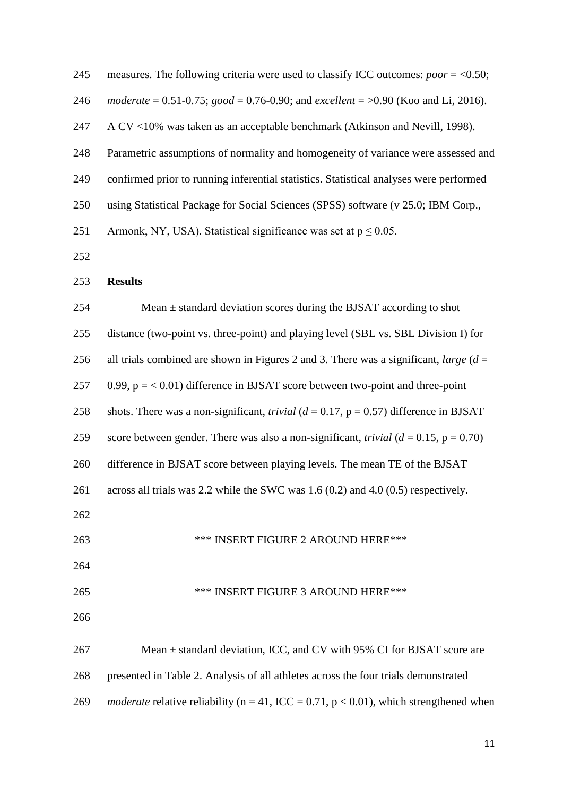| 245 | measures. The following criteria were used to classify ICC outcomes: $poor = <0.50$ ;               |
|-----|-----------------------------------------------------------------------------------------------------|
| 246 | moderate = $0.51$ -0.75; good = 0.76-0.90; and excellent = $>0.90$ (Koo and Li, 2016).              |
| 247 | A CV <10% was taken as an acceptable benchmark (Atkinson and Nevill, 1998).                         |
| 248 | Parametric assumptions of normality and homogeneity of variance were assessed and                   |
| 249 | confirmed prior to running inferential statistics. Statistical analyses were performed              |
| 250 | using Statistical Package for Social Sciences (SPSS) software (v 25.0; IBM Corp.,                   |
| 251 | Armonk, NY, USA). Statistical significance was set at $p \le 0.05$ .                                |
| 252 |                                                                                                     |
| 253 | <b>Results</b>                                                                                      |
| 254 | Mean $\pm$ standard deviation scores during the BJSAT according to shot                             |
| 255 | distance (two-point vs. three-point) and playing level (SBL vs. SBL Division I) for                 |
| 256 | all trials combined are shown in Figures 2 and 3. There was a significant, large $(d =$             |
| 257 | 0.99, $p = < 0.01$ ) difference in BJSAT score between two-point and three-point                    |
| 258 | shots. There was a non-significant, <i>trivial</i> ( $d = 0.17$ , $p = 0.57$ ) difference in BJSAT  |
| 259 | score between gender. There was also a non-significant, <i>trivial</i> ( $d = 0.15$ , $p = 0.70$ )  |
| 260 | difference in BJSAT score between playing levels. The mean TE of the BJSAT                          |
| 261 | across all trials was 2.2 while the SWC was $1.6(0.2)$ and $4.0(0.5)$ respectively.                 |
| 262 |                                                                                                     |
| 263 | *** INSERT FIGURE 2 AROUND HERE***                                                                  |
| 264 |                                                                                                     |
| 265 | *** INSERT FIGURE 3 AROUND HERE***                                                                  |
| 266 |                                                                                                     |
| 267 | Mean $\pm$ standard deviation, ICC, and CV with 95% CI for BJSAT score are                          |
| 268 | presented in Table 2. Analysis of all athletes across the four trials demonstrated                  |
| 269 | <i>moderate</i> relative reliability ( $n = 41$ , ICC = 0.71, $p < 0.01$ ), which strengthened when |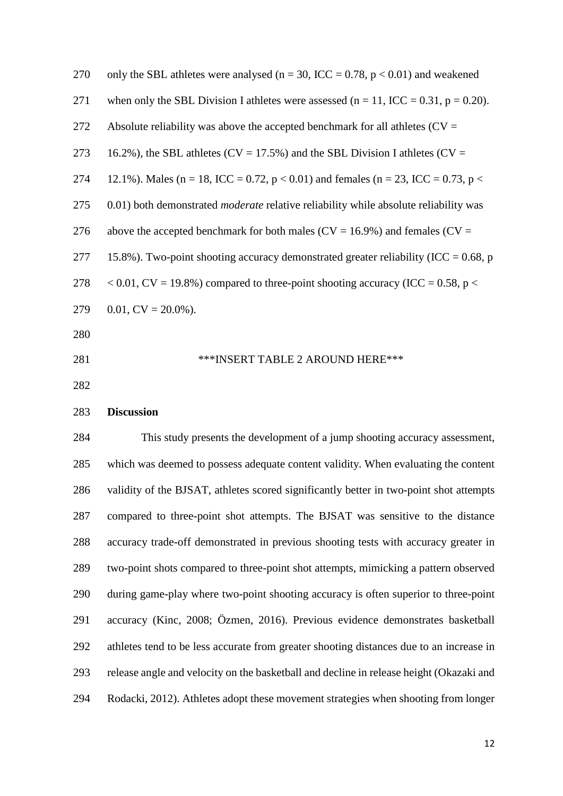| 270 | only the SBL athletes were analysed ( $n = 30$ , ICC = 0.78, $p < 0.01$ ) and weakened      |
|-----|---------------------------------------------------------------------------------------------|
| 271 | when only the SBL Division I athletes were assessed ( $n = 11$ , ICC = 0.31, $p = 0.20$ ).  |
| 272 | Absolute reliability was above the accepted benchmark for all athletes ( $CV =$             |
| 273 | 16.2%), the SBL athletes ( $CV = 17.5\%$ ) and the SBL Division I athletes ( $CV =$         |
| 274 | 12.1%). Males (n = 18, ICC = 0.72, p < 0.01) and females (n = 23, ICC = 0.73, p <           |
| 275 | 0.01) both demonstrated <i>moderate</i> relative reliability while absolute reliability was |
| 276 | above the accepted benchmark for both males ( $CV = 16.9\%$ ) and females ( $CV =$          |
| 277 | 15.8%). Two-point shooting accuracy demonstrated greater reliability (ICC = $0.68$ , p      |
| 278 | $< 0.01$ , CV = 19.8%) compared to three-point shooting accuracy (ICC = 0.58, p $<$         |
| 279 | $0.01$ , $CV = 20.0\%$ ).                                                                   |
| 280 |                                                                                             |
| 281 | ***INSERT TABLE 2 AROUND HERE***                                                            |
| 282 |                                                                                             |
| 283 | <b>Discussion</b>                                                                           |
| 284 | This study presents the development of a jump shooting accuracy assessment,                 |
| 285 | which was deemed to possess adequate content validity. When evaluating the content          |
| 286 | validity of the BJSAT, athletes scored significantly better in two-point shot attempts      |
| 287 | compared to three-point shot attempts. The BJSAT was sensitive to the distance              |
| 288 | accuracy trade-off demonstrated in previous shooting tests with accuracy greater in         |
| 289 | two-point shots compared to three-point shot attempts, mimicking a pattern observed         |
| 290 | during game-play where two-point shooting accuracy is often superior to three-point         |
| 291 | accuracy (Kinc, 2008; Özmen, 2016). Previous evidence demonstrates basketball               |
| 292 | athletes tend to be less accurate from greater shooting distances due to an increase in     |
| 293 | release angle and velocity on the basketball and decline in release height (Okazaki and     |
| 294 | Rodacki, 2012). Athletes adopt these movement strategies when shooting from longer          |
|     |                                                                                             |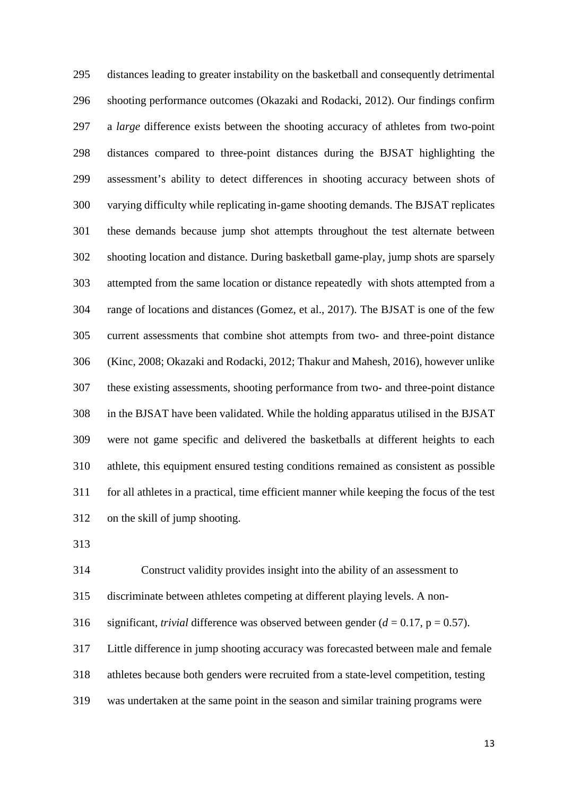distances leading to greater instability on the basketball and consequently detrimental shooting performance outcomes (Okazaki and Rodacki, 2012). Our findings confirm a *large* difference exists between the shooting accuracy of athletes from two-point distances compared to three-point distances during the BJSAT highlighting the assessment's ability to detect differences in shooting accuracy between shots of varying difficulty while replicating in-game shooting demands. The BJSAT replicates these demands because jump shot attempts throughout the test alternate between shooting location and distance. During basketball game-play, jump shots are sparsely attempted from the same location or distance repeatedly with shots attempted from a range of locations and distances (Gomez, et al., 2017). The BJSAT is one of the few current assessments that combine shot attempts from two- and three-point distance (Kinc, 2008; Okazaki and Rodacki, 2012; Thakur and Mahesh, 2016), however unlike these existing assessments, shooting performance from two- and three-point distance in the BJSAT have been validated. While the holding apparatus utilised in the BJSAT were not game specific and delivered the basketballs at different heights to each athlete, this equipment ensured testing conditions remained as consistent as possible for all athletes in a practical, time efficient manner while keeping the focus of the test on the skill of jump shooting.

Construct validity provides insight into the ability of an assessment to

discriminate between athletes competing at different playing levels. A non-

316 significant, *trivial* difference was observed between gender  $(d = 0.17, p = 0.57)$ .

Little difference in jump shooting accuracy was forecasted between male and female

- athletes because both genders were recruited from a state-level competition, testing
- was undertaken at the same point in the season and similar training programs were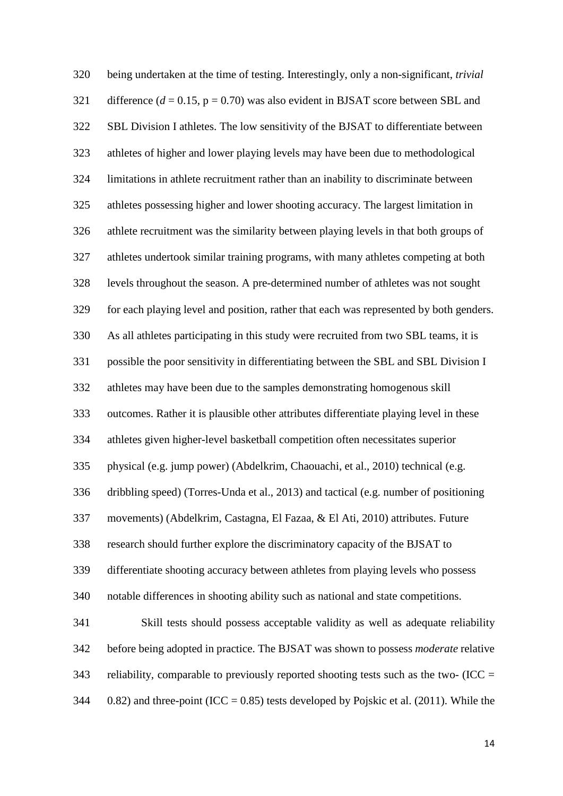being undertaken at the time of testing. Interestingly, only a non-significant, *trivial* 321 difference  $(d = 0.15, p = 0.70)$  was also evident in BJSAT score between SBL and SBL Division I athletes. The low sensitivity of the BJSAT to differentiate between athletes of higher and lower playing levels may have been due to methodological limitations in athlete recruitment rather than an inability to discriminate between athletes possessing higher and lower shooting accuracy. The largest limitation in athlete recruitment was the similarity between playing levels in that both groups of athletes undertook similar training programs, with many athletes competing at both levels throughout the season. A pre-determined number of athletes was not sought for each playing level and position, rather that each was represented by both genders. As all athletes participating in this study were recruited from two SBL teams, it is possible the poor sensitivity in differentiating between the SBL and SBL Division I athletes may have been due to the samples demonstrating homogenous skill outcomes. Rather it is plausible other attributes differentiate playing level in these athletes given higher-level basketball competition often necessitates superior physical (e.g. jump power) (Abdelkrim, Chaouachi, et al., 2010) technical (e.g. dribbling speed) (Torres-Unda et al., 2013) and tactical (e.g. number of positioning movements) (Abdelkrim, Castagna, El Fazaa, & El Ati, 2010) attributes. Future research should further explore the discriminatory capacity of the BJSAT to differentiate shooting accuracy between athletes from playing levels who possess notable differences in shooting ability such as national and state competitions. Skill tests should possess acceptable validity as well as adequate reliability before being adopted in practice. The BJSAT was shown to possess *moderate* relative 343 reliability, comparable to previously reported shooting tests such as the two- (ICC  $=$ 344 0.82) and three-point (ICC = 0.85) tests developed by Pojskic et al. (2011). While the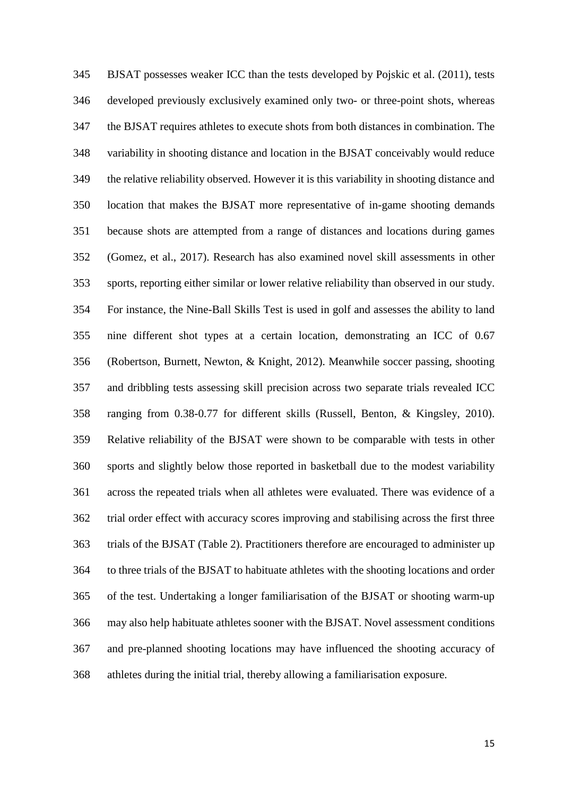BJSAT possesses weaker ICC than the tests developed by Pojskic et al. (2011), tests developed previously exclusively examined only two- or three-point shots, whereas the BJSAT requires athletes to execute shots from both distances in combination. The variability in shooting distance and location in the BJSAT conceivably would reduce the relative reliability observed. However it is this variability in shooting distance and location that makes the BJSAT more representative of in-game shooting demands because shots are attempted from a range of distances and locations during games (Gomez, et al., 2017). Research has also examined novel skill assessments in other sports, reporting either similar or lower relative reliability than observed in our study. For instance, the Nine-Ball Skills Test is used in golf and assesses the ability to land nine different shot types at a certain location, demonstrating an ICC of 0.67 (Robertson, Burnett, Newton, & Knight, 2012). Meanwhile soccer passing, shooting and dribbling tests assessing skill precision across two separate trials revealed ICC ranging from 0.38-0.77 for different skills (Russell, Benton, & Kingsley, 2010). Relative reliability of the BJSAT were shown to be comparable with tests in other sports and slightly below those reported in basketball due to the modest variability across the repeated trials when all athletes were evaluated. There was evidence of a trial order effect with accuracy scores improving and stabilising across the first three trials of the BJSAT (Table 2). Practitioners therefore are encouraged to administer up to three trials of the BJSAT to habituate athletes with the shooting locations and order of the test. Undertaking a longer familiarisation of the BJSAT or shooting warm-up may also help habituate athletes sooner with the BJSAT. Novel assessment conditions and pre-planned shooting locations may have influenced the shooting accuracy of athletes during the initial trial, thereby allowing a familiarisation exposure.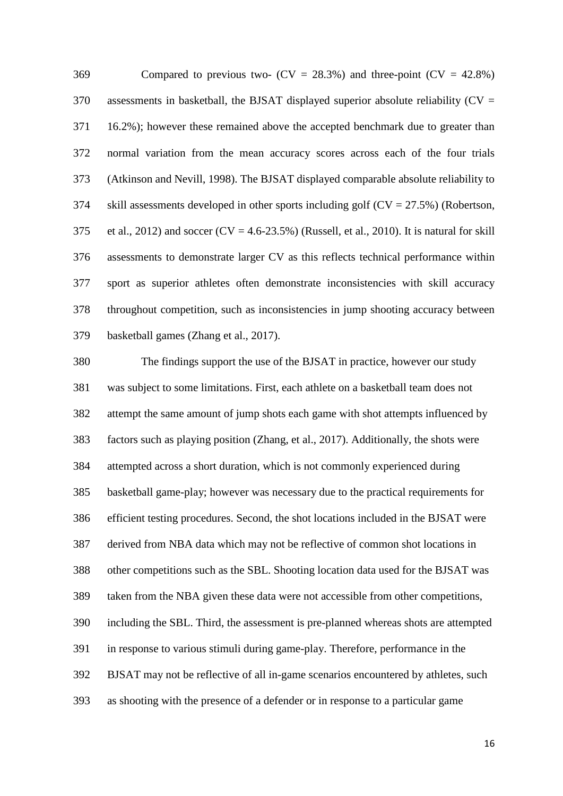369 Compared to previous two-  $(CV = 28.3\%)$  and three-point  $(CV = 42.8\%)$  assessments in basketball, the BJSAT displayed superior absolute reliability (CV = 16.2%); however these remained above the accepted benchmark due to greater than normal variation from the mean accuracy scores across each of the four trials (Atkinson and Nevill, 1998). The BJSAT displayed comparable absolute reliability to 374 skill assessments developed in other sports including golf  $(CV = 27.5\%)$  (Robertson, 375 et al., 2012) and soccer  $(CV = 4.6-23.5%)$  (Russell, et al., 2010). It is natural for skill assessments to demonstrate larger CV as this reflects technical performance within sport as superior athletes often demonstrate inconsistencies with skill accuracy throughout competition, such as inconsistencies in jump shooting accuracy between basketball games (Zhang et al., 2017).

 The findings support the use of the BJSAT in practice, however our study was subject to some limitations. First, each athlete on a basketball team does not attempt the same amount of jump shots each game with shot attempts influenced by factors such as playing position (Zhang, et al., 2017). Additionally, the shots were attempted across a short duration, which is not commonly experienced during basketball game-play; however was necessary due to the practical requirements for efficient testing procedures. Second, the shot locations included in the BJSAT were derived from NBA data which may not be reflective of common shot locations in other competitions such as the SBL. Shooting location data used for the BJSAT was taken from the NBA given these data were not accessible from other competitions, including the SBL. Third, the assessment is pre-planned whereas shots are attempted in response to various stimuli during game-play. Therefore, performance in the BJSAT may not be reflective of all in-game scenarios encountered by athletes, such as shooting with the presence of a defender or in response to a particular game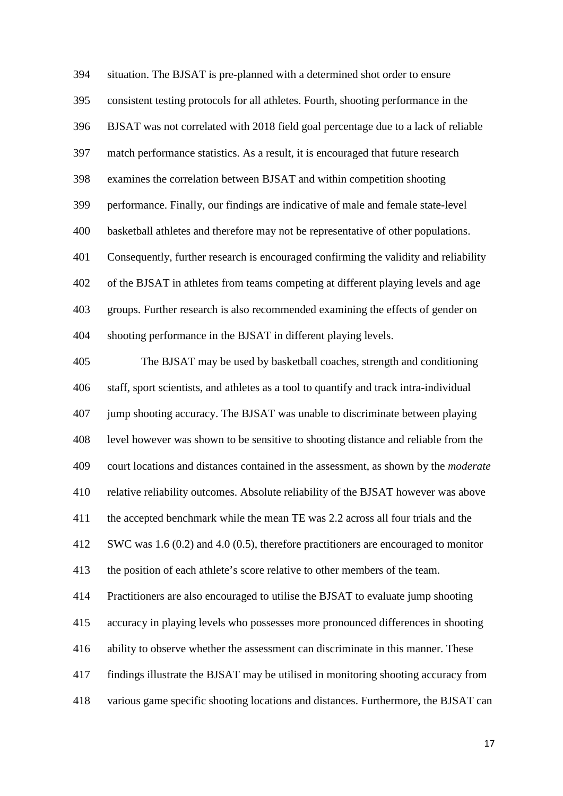situation. The BJSAT is pre-planned with a determined shot order to ensure consistent testing protocols for all athletes. Fourth, shooting performance in the BJSAT was not correlated with 2018 field goal percentage due to a lack of reliable match performance statistics. As a result, it is encouraged that future research examines the correlation between BJSAT and within competition shooting performance. Finally, our findings are indicative of male and female state-level basketball athletes and therefore may not be representative of other populations. Consequently, further research is encouraged confirming the validity and reliability of the BJSAT in athletes from teams competing at different playing levels and age groups. Further research is also recommended examining the effects of gender on shooting performance in the BJSAT in different playing levels.

 The BJSAT may be used by basketball coaches, strength and conditioning staff, sport scientists, and athletes as a tool to quantify and track intra-individual jump shooting accuracy. The BJSAT was unable to discriminate between playing level however was shown to be sensitive to shooting distance and reliable from the court locations and distances contained in the assessment, as shown by the *moderate* relative reliability outcomes. Absolute reliability of the BJSAT however was above the accepted benchmark while the mean TE was 2.2 across all four trials and the SWC was 1.6 (0.2) and 4.0 (0.5), therefore practitioners are encouraged to monitor the position of each athlete's score relative to other members of the team. Practitioners are also encouraged to utilise the BJSAT to evaluate jump shooting accuracy in playing levels who possesses more pronounced differences in shooting ability to observe whether the assessment can discriminate in this manner. These findings illustrate the BJSAT may be utilised in monitoring shooting accuracy from various game specific shooting locations and distances. Furthermore, the BJSAT can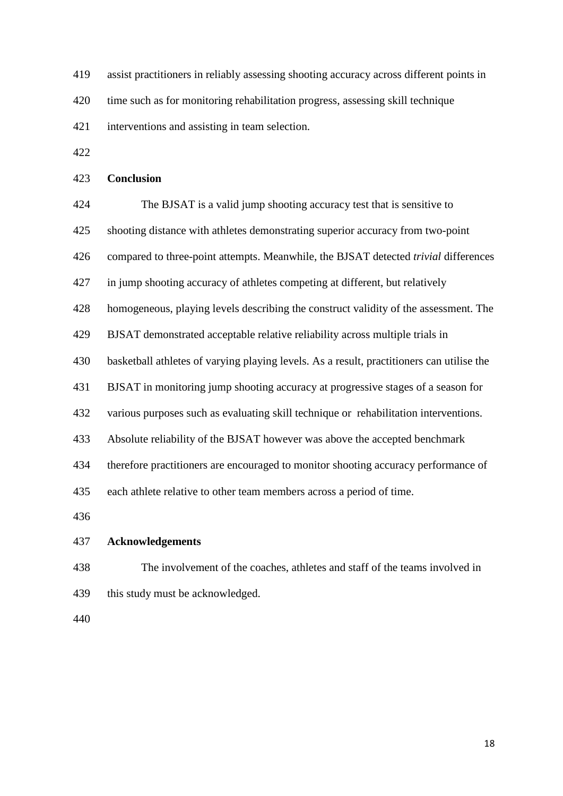- assist practitioners in reliably assessing shooting accuracy across different points in
- time such as for monitoring rehabilitation progress, assessing skill technique
- interventions and assisting in team selection.
- 

## **Conclusion**

| 424 | The BJSAT is a valid jump shooting accuracy test that is sensitive to                     |
|-----|-------------------------------------------------------------------------------------------|
| 425 | shooting distance with athletes demonstrating superior accuracy from two-point            |
| 426 | compared to three-point attempts. Meanwhile, the BJSAT detected trivial differences       |
| 427 | in jump shooting accuracy of athletes competing at different, but relatively              |
| 428 | homogeneous, playing levels describing the construct validity of the assessment. The      |
| 429 | BJSAT demonstrated acceptable relative reliability across multiple trials in              |
| 430 | basketball athletes of varying playing levels. As a result, practitioners can utilise the |
| 431 | BJSAT in monitoring jump shooting accuracy at progressive stages of a season for          |
| 432 | various purposes such as evaluating skill technique or rehabilitation interventions.      |
| 433 | Absolute reliability of the BJSAT however was above the accepted benchmark                |
| 434 | therefore practitioners are encouraged to monitor shooting accuracy performance of        |
| 435 | each athlete relative to other team members across a period of time.                      |
| 436 |                                                                                           |
| 437 | <b>Acknowledgements</b>                                                                   |
| 438 | The involvement of the coaches, athletes and staff of the teams involved in               |
| 439 | this study must be acknowledged.                                                          |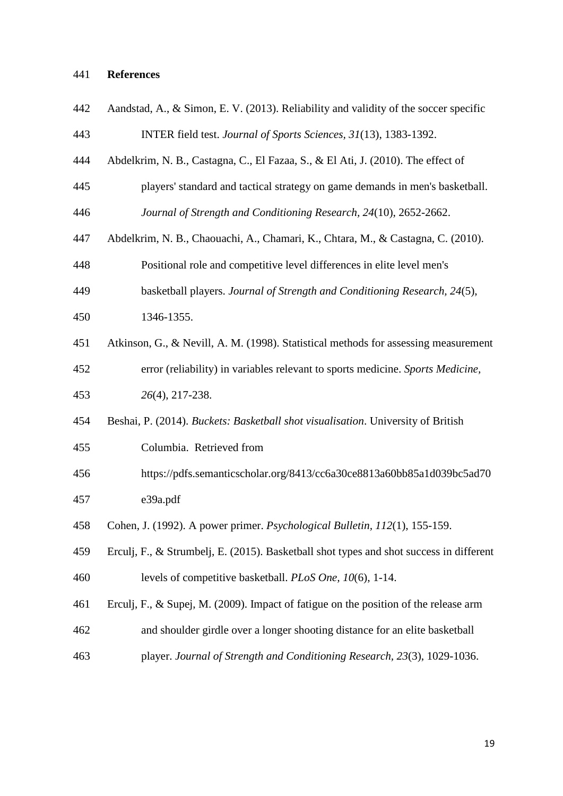## **References**

| 442 | Aandstad, A., & Simon, E. V. (2013). Reliability and validity of the soccer specific    |
|-----|-----------------------------------------------------------------------------------------|
| 443 | INTER field test. Journal of Sports Sciences, 31(13), 1383-1392.                        |
| 444 | Abdelkrim, N. B., Castagna, C., El Fazaa, S., & El Ati, J. (2010). The effect of        |
| 445 | players' standard and tactical strategy on game demands in men's basketball.            |
| 446 | Journal of Strength and Conditioning Research, 24(10), 2652-2662.                       |
| 447 | Abdelkrim, N. B., Chaouachi, A., Chamari, K., Chtara, M., & Castagna, C. (2010).        |
| 448 | Positional role and competitive level differences in elite level men's                  |
| 449 | basketball players. Journal of Strength and Conditioning Research, 24(5),               |
| 450 | 1346-1355.                                                                              |
| 451 | Atkinson, G., & Nevill, A. M. (1998). Statistical methods for assessing measurement     |
| 452 | error (reliability) in variables relevant to sports medicine. Sports Medicine,          |
| 453 | 26(4), 217-238.                                                                         |
| 454 | Beshai, P. (2014). Buckets: Basketball shot visualisation. University of British        |
| 455 | Columbia. Retrieved from                                                                |
| 456 | https://pdfs.semanticscholar.org/8413/cc6a30ce8813a60bb85a1d039bc5ad70                  |
| 457 | e39a.pdf                                                                                |
| 458 | Cohen, J. (1992). A power primer. <i>Psychological Bulletin</i> , 112(1), 155-159.      |
| 459 | Erculj, F., & Strumbelj, E. (2015). Basketball shot types and shot success in different |
| 460 | levels of competitive basketball. PLoS One, 10(6), 1-14.                                |
| 461 | Erculj, F., & Supej, M. $(2009)$ . Impact of fatigue on the position of the release arm |
| 462 | and shoulder girdle over a longer shooting distance for an elite basketball             |
| 463 | player. Journal of Strength and Conditioning Research, 23(3), 1029-1036.                |
|     |                                                                                         |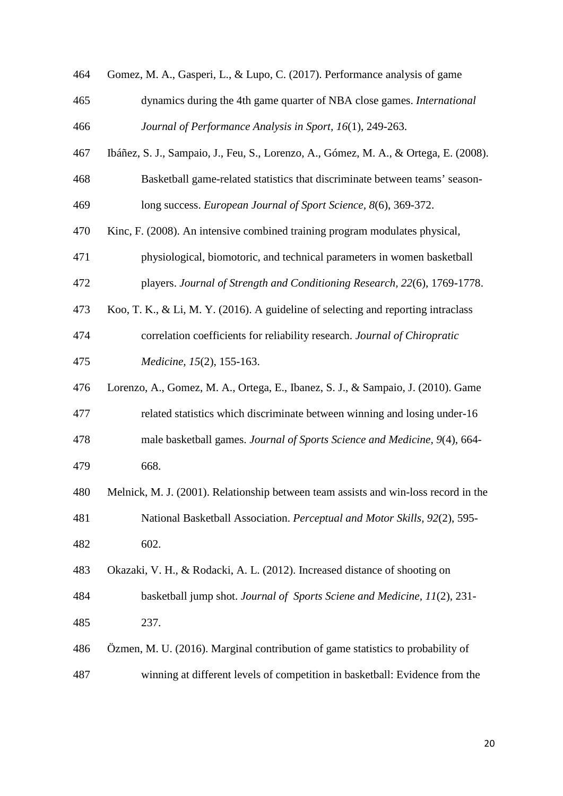| 464 | Gomez, M. A., Gasperi, L., & Lupo, C. (2017). Performance analysis of game           |
|-----|--------------------------------------------------------------------------------------|
| 465 | dynamics during the 4th game quarter of NBA close games. International               |
| 466 | Journal of Performance Analysis in Sport, 16(1), 249-263.                            |
| 467 | Ibáñez, S. J., Sampaio, J., Feu, S., Lorenzo, A., Gómez, M. A., & Ortega, E. (2008). |
| 468 | Basketball game-related statistics that discriminate between teams' season-          |
| 469 | long success. European Journal of Sport Science, 8(6), 369-372.                      |
| 470 | Kinc, F. (2008). An intensive combined training program modulates physical,          |
| 471 | physiological, biomotoric, and technical parameters in women basketball              |
| 472 | players. Journal of Strength and Conditioning Research, 22(6), 1769-1778.            |
| 473 | Koo, T. K., & Li, M. Y. (2016). A guideline of selecting and reporting intraclass    |
| 474 | correlation coefficients for reliability research. Journal of Chiropratic            |
| 475 | Medicine, 15(2), 155-163.                                                            |
| 476 | Lorenzo, A., Gomez, M. A., Ortega, E., Ibanez, S. J., & Sampaio, J. (2010). Game     |
| 477 | related statistics which discriminate between winning and losing under-16            |
| 478 | male basketball games. Journal of Sports Science and Medicine, 9(4), 664-            |
| 479 | 668.                                                                                 |
| 480 | Melnick, M. J. (2001). Relationship between team assists and win-loss record in the  |
| 481 | National Basketball Association. Perceptual and Motor Skills, 92(2), 595-            |
| 482 | 602.                                                                                 |
| 483 | Okazaki, V. H., & Rodacki, A. L. (2012). Increased distance of shooting on           |
| 484 | basketball jump shot. Journal of Sports Sciene and Medicine, 11(2), 231-             |
| 485 | 237.                                                                                 |
| 486 | Özmen, M. U. (2016). Marginal contribution of game statistics to probability of      |
| 487 | winning at different levels of competition in basketball: Evidence from the          |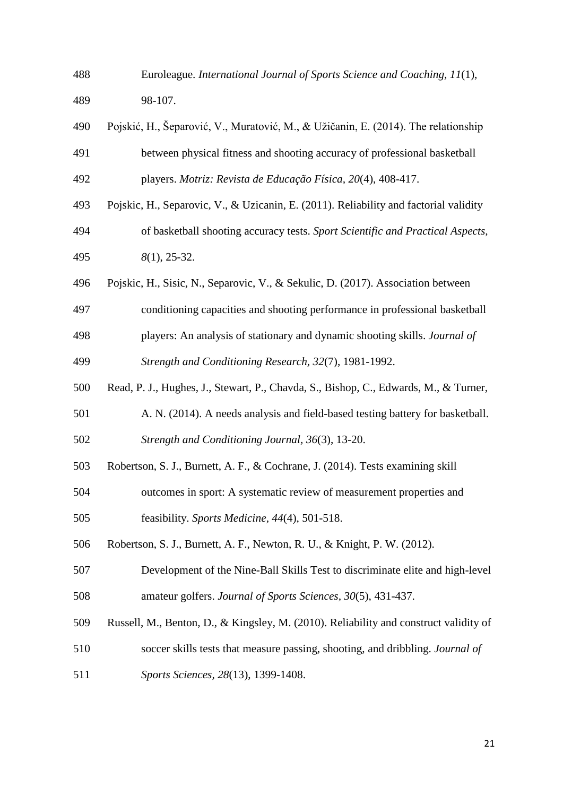Euroleague. *International Journal of Sports Science and Coaching, 11*(1),

98-107.

- Pojskić, H., Šeparović, V., Muratović, M., & Užičanin, E. (2014). The relationship between physical fitness and shooting accuracy of professional basketball players. *Motriz: Revista de Educação Física, 20*(4), 408-417.
- Pojskic, H., Separovic, V., & Uzicanin, E. (2011). Reliability and factorial validity
- of basketball shooting accuracy tests. *Sport Scientific and Practical Aspects, 8*(1), 25-32.
- Pojskic, H., Sisic, N., Separovic, V., & Sekulic, D. (2017). Association between
- conditioning capacities and shooting performance in professional basketball
- players: An analysis of stationary and dynamic shooting skills. *Journal of Strength and Conditioning Research, 32*(7), 1981-1992.
- Read, P. J., Hughes, J., Stewart, P., Chavda, S., Bishop, C., Edwards, M., & Turner,
- A. N. (2014). A needs analysis and field-based testing battery for basketball. *Strength and Conditioning Journal, 36*(3), 13-20.
- Robertson, S. J., Burnett, A. F., & Cochrane, J. (2014). Tests examining skill
- outcomes in sport: A systematic review of measurement properties and
- feasibility. *Sports Medicine, 44*(4), 501-518.
- Robertson, S. J., Burnett, A. F., Newton, R. U., & Knight, P. W. (2012).
- Development of the Nine-Ball Skills Test to discriminate elite and high-level amateur golfers. *Journal of Sports Sciences, 30*(5), 431-437.
- Russell, M., Benton, D., & Kingsley, M. (2010). Reliability and construct validity of
- soccer skills tests that measure passing, shooting, and dribbling. *Journal of*
- *Sports Sciences, 28*(13), 1399-1408.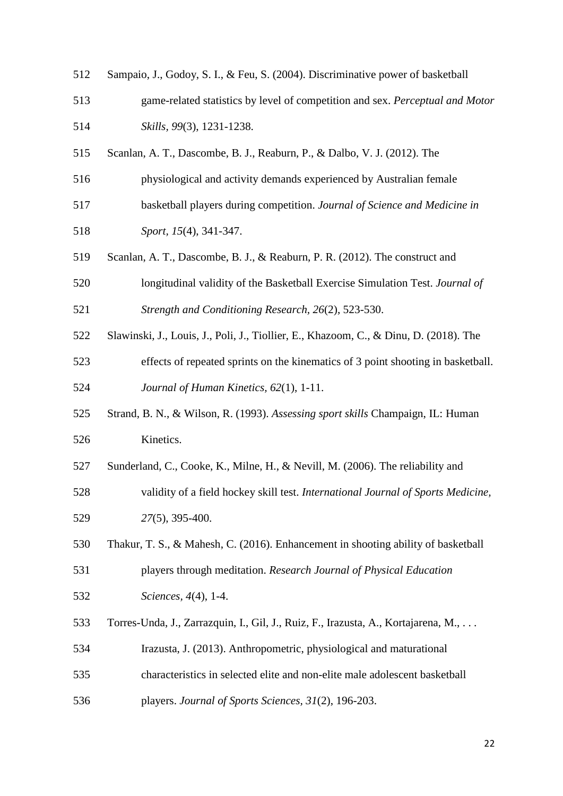| 512 | Sampaio, J., Godoy, S. I., & Feu, S. (2004). Discriminative power of basketball       |
|-----|---------------------------------------------------------------------------------------|
| 513 | game-related statistics by level of competition and sex. Perceptual and Motor         |
| 514 | Skills, 99(3), 1231-1238.                                                             |
| 515 | Scanlan, A. T., Dascombe, B. J., Reaburn, P., & Dalbo, V. J. (2012). The              |
| 516 | physiological and activity demands experienced by Australian female                   |
| 517 | basketball players during competition. Journal of Science and Medicine in             |
| 518 | Sport, 15(4), 341-347.                                                                |
| 519 | Scanlan, A. T., Dascombe, B. J., & Reaburn, P. R. (2012). The construct and           |
| 520 | longitudinal validity of the Basketball Exercise Simulation Test. Journal of          |
| 521 | Strength and Conditioning Research, 26(2), 523-530.                                   |
| 522 | Slawinski, J., Louis, J., Poli, J., Tiollier, E., Khazoom, C., & Dinu, D. (2018). The |
| 523 | effects of repeated sprints on the kinematics of 3 point shooting in basketball.      |
| 524 | Journal of Human Kinetics, 62(1), 1-11.                                               |
| 525 | Strand, B. N., & Wilson, R. (1993). Assessing sport skills Champaign, IL: Human       |
| 526 | Kinetics.                                                                             |
| 527 | Sunderland, C., Cooke, K., Milne, H., & Nevill, M. (2006). The reliability and        |
| 528 | validity of a field hockey skill test. International Journal of Sports Medicine,      |
| 529 | 27(5), 395-400.                                                                       |
| 530 | Thakur, T. S., & Mahesh, C. (2016). Enhancement in shooting ability of basketball     |
| 531 | players through meditation. Research Journal of Physical Education                    |
| 532 | Sciences, 4(4), 1-4.                                                                  |
| 533 | Torres-Unda, J., Zarrazquin, I., Gil, J., Ruiz, F., Irazusta, A., Kortajarena, M.,    |
| 534 | Irazusta, J. (2013). Anthropometric, physiological and maturational                   |
| 535 | characteristics in selected elite and non-elite male adolescent basketball            |
| 536 | players. Journal of Sports Sciences, 31(2), 196-203.                                  |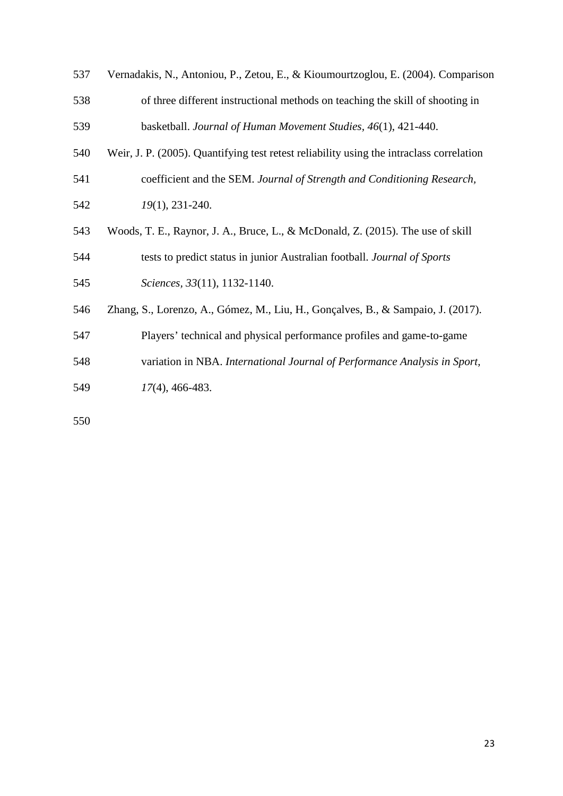| 537 | Vernadakis, N., Antoniou, P., Zetou, E., & Kioumourtzoglou, E. (2004). Comparison        |
|-----|------------------------------------------------------------------------------------------|
| 538 | of three different instructional methods on teaching the skill of shooting in            |
| 539 | basketball. Journal of Human Movement Studies, 46(1), 421-440.                           |
| 540 | Weir, J. P. (2005). Quantifying test retest reliability using the intraclass correlation |
| 541 | coefficient and the SEM. Journal of Strength and Conditioning Research,                  |
| 542 | 19(1), 231-240.                                                                          |
| 543 | Woods, T. E., Raynor, J. A., Bruce, L., & McDonald, Z. (2015). The use of skill          |
| 544 | tests to predict status in junior Australian football. Journal of Sports                 |
| 545 | Sciences, 33(11), 1132-1140.                                                             |
| 546 | Zhang, S., Lorenzo, A., Gómez, M., Liu, H., Gonçalves, B., & Sampaio, J. (2017).         |
| 547 | Players' technical and physical performance profiles and game-to-game                    |
| 548 | variation in NBA. International Journal of Performance Analysis in Sport,                |
| 549 | $17(4)$ , 466-483.                                                                       |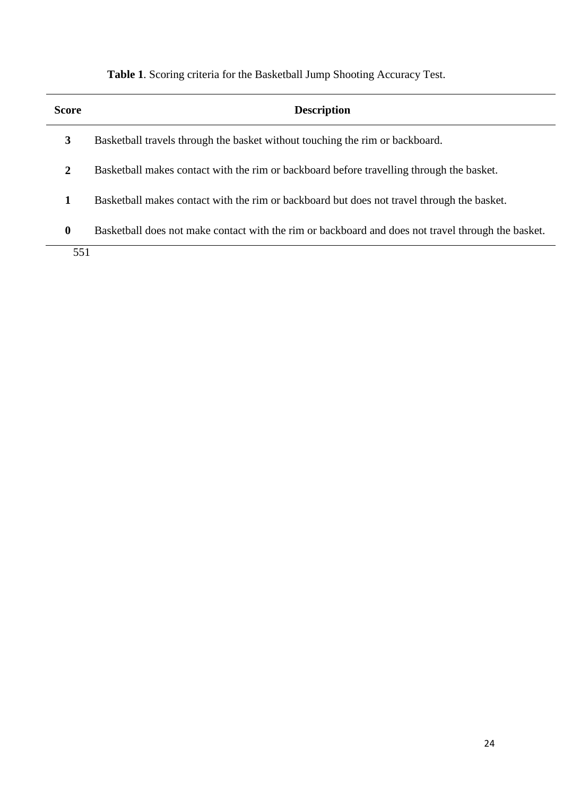**Table 1**. Scoring criteria for the Basketball Jump Shooting Accuracy Test.

| <b>Score</b>     | <b>Description</b>                                                                                 |
|------------------|----------------------------------------------------------------------------------------------------|
| 3                | Basketball travels through the basket without touching the rim or backboard.                       |
| 2                | Basketball makes contact with the rim or backboard before travelling through the basket.           |
|                  | Basketball makes contact with the rim or backboard but does not travel through the basket.         |
| $\boldsymbol{0}$ | Basketball does not make contact with the rim or backboard and does not travel through the basket. |
| 551              |                                                                                                    |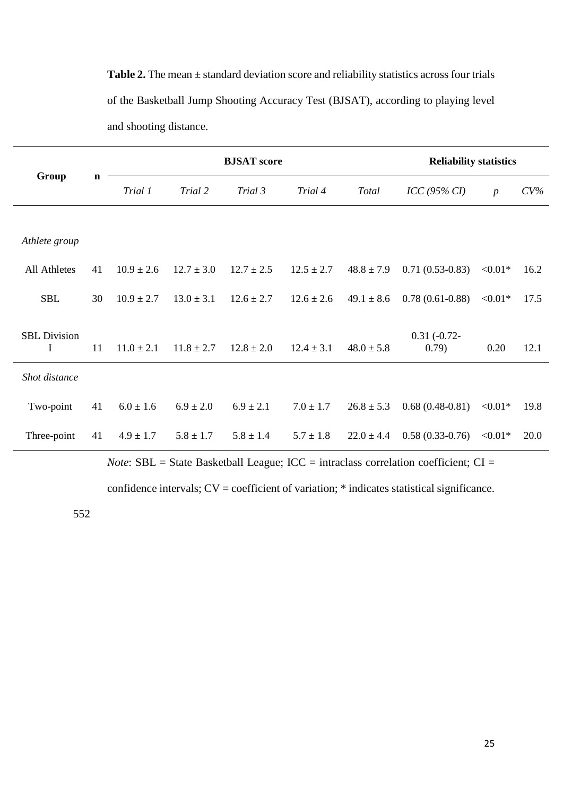**Table 2.** The mean ± standard deviation score and reliability statistics across four trials of the Basketball Jump Shooting Accuracy Test (BJSAT), according to playing level and shooting distance.

| Group                    | $\mathbf n$ | <b>BJSAT</b> score |                |                |                |                | <b>Reliability statistics</b> |                  |        |
|--------------------------|-------------|--------------------|----------------|----------------|----------------|----------------|-------------------------------|------------------|--------|
|                          |             | Trial 1            | Trial 2        | Trial 3        | Trial 4        | Total          | $ICC$ (95% CI)                | $\boldsymbol{p}$ | $CV\%$ |
|                          |             |                    |                |                |                |                |                               |                  |        |
| Athlete group            |             |                    |                |                |                |                |                               |                  |        |
| All Athletes             | 41          | $10.9 \pm 2.6$     | $12.7 \pm 3.0$ | $12.7 \pm 2.5$ | $12.5 \pm 2.7$ | $48.8 \pm 7.9$ | $0.71(0.53-0.83)$             | $< 0.01*$        | 16.2   |
| <b>SBL</b>               | 30          | $10.9 \pm 2.7$     | $13.0 \pm 3.1$ | $12.6 \pm 2.7$ | $12.6 \pm 2.6$ | $49.1 \pm 8.6$ | $0.78(0.61-0.88)$             | $< 0.01*$        | 17.5   |
| <b>SBL</b> Division<br>I | 11          | $11.0 \pm 2.1$     | $11.8 \pm 2.7$ | $12.8 \pm 2.0$ | $12.4 \pm 3.1$ | $48.0 \pm 5.8$ | $0.31(-0.72-$<br>(0.79)       | 0.20             | 12.1   |
| Shot distance            |             |                    |                |                |                |                |                               |                  |        |
| Two-point                | 41          | $6.0 \pm 1.6$      | $6.9 \pm 2.0$  | $6.9 \pm 2.1$  | $7.0 \pm 1.7$  | $26.8 \pm 5.3$ | $0.68(0.48-0.81)$             | $< 0.01*$        | 19.8   |
| Three-point              | 41          | $4.9 \pm 1.7$      | $5.8 \pm 1.7$  | $5.8 \pm 1.4$  | $5.7 \pm 1.8$  | $22.0 \pm 4.4$ | $0.58(0.33-0.76)$             | $< 0.01*$        | 20.0   |

*Note*: SBL = State Basketball League; ICC = intraclass correlation coefficient; CI =

confidence intervals; CV = coefficient of variation; \* indicates statistical significance.